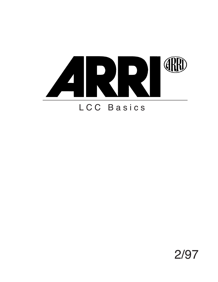

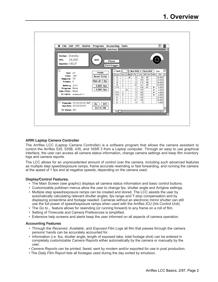

# **ARRI Laptop Camera Controller**

The Arriflex LCC (Laptop Camera Controller) is a software program that allows the camera assistant to control the Arriflex 535, 535B, 435, and 16SR 3 from a Laptop computer. Through an easy to use graphical interface, the user can access all camera status information, change camera settings and keep film inventory logs and camera reports.

The LCC allows for an unprecedented amount of control over the camera, including such advanced features as multiple step speed/exposure ramps, frame accurate rewinding or fast forwarding, and running the camera at the speed of 1 fps and at negative speeds, depending on the camera used.

## **Display/Control Features.**

- The Main Screen (see graphic) displays all camera status information and basic control buttons.
- Customizable pulldown menus allow the user to change fps, shutter angle and Arriglow settings.
- Multiple step speed/exposure ramps can be created and stored. The LCC assists the user by automatically calculating relevant shutter angles, fps range and T-stop compensation and by displaying screentime and footage needed. Cameras without an electronic mirror shutter can still use the full power of speed/exposure ramps when used with the Arriflex ICU (Iris Control Unit).
- The *Go to...* feature allows for rewinding (or running forward) to any frame on a roll of film.
- Setting of Timecode and Camera Preferences is simplified.
- Extensive help screens and alerts keep the user informed on all aspects of camera operation.

### **Accounting Features**

- Through the *Received*, *Available*, and *Exposed Film Log*s all film that passes through the camera persons' hands can be accurately accounted for.
- Information (i.e. fps, shutter angle, length of exposed take, total footage shot) can be entered in completely customizable *Camera Reports* either automatically by the camera or manually by the user.
- *Camera Reports* can be printed, faxed, sent by modem and/or exported for use in post production.
- The *Daily Film Report* lists all footages used during the day sorted by emulsion.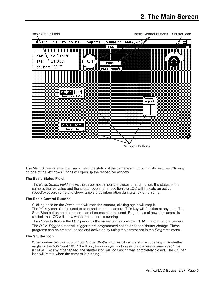

The Main Screen allows the user to read the status of the camera and to control its features. Clicking on one of the *Window Buttons* will open up the respective window.

### **The Basic Status Field**

The *Basic Status Field* shows the three most important pieces of information: the status of the camera, the fps value and the shutter opening. In addition the LCC will indicate an active speed/exposure ramp and show ramp status information during an external ramp.

## **The Basic Control Buttons**

Clicking once on the *Run* button will start the camera, clicking again will stop it. The "~" key can also be used to start and stop the camera. This key will function at any time. The Start/Stop button on the camera can of course also be used. Regardless of how the camera is started, the LCC will know when the camera is running.

The *Phase* button on the LCC performs the same functions as the PHASE button on the camera. The *PGM Trigger* button will trigger a pre-programmed speed or speed/shutter change. These programs can be created, edited and activated by using the commands in the *Programs* menu.

#### **The Shutter Icon**

When connected to a 535 or 435ES, the *Shutter* icon will show the shutter opening. The shutter angle for the 535B and 16SR 3 will only be displayed as long as the camera is running at 1 fps (PHASE). At any other speed, the shutter icon will look as if it was completely closed. The *Shutter* icon will rotate when the camera is running.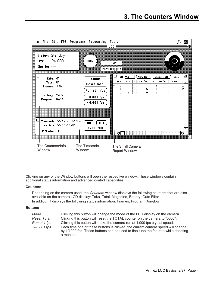

Clicking on any of the Window buttons will open the respective window. These windows contain additional status information and advanced control capabilities.

## **Counters**

Depending on the camera used, the *Counters* window displays the following counters that are also available on the camera LCD display: Take, Total, Magazine, Battery, Gate Filter. In addition it displays the following status information: Frames, Program, Arriglow.

## **Buttons**

| Mode           | Clicking this button will change the mode of the LCD display on the camera.                                                                                                        |
|----------------|------------------------------------------------------------------------------------------------------------------------------------------------------------------------------------|
| Reset Total    | Clicking this button will reset the TOTAL counter on the camera to "0000".                                                                                                         |
| Run at 1 fps   | Clicking this button will make the camera run at 1.000 fps crystal speed.                                                                                                          |
| $+/-0.001$ fps | Each time one of these buttons is clicked, the current camera speed will change<br>by 1/1000 fps. These buttons can be used to fine tune the fps rate while shooting<br>a monitor. |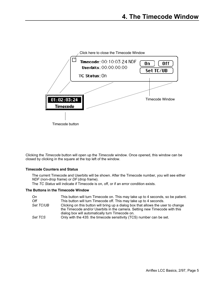

Clicking the *Timecode* button will open up the *Timecode* window. Once opened, this window can be closed by clicking in the square at the top left of the window.

## **Timecode Counters and Status**

The current Timecode and Userbits will be shown. After the Timecode number, you will see either *NDF* (non-drop frame) or *DF* (drop frame).

The *TC Status* will indicate if Timecode is on, off, or if an error condition exists.

# **The Buttons in the Timecode Window**

| On        | This button will turn Timecode on. This may take up to 4 seconds, so be patient.                                                                                                                                   |
|-----------|--------------------------------------------------------------------------------------------------------------------------------------------------------------------------------------------------------------------|
| Off       | This button will turn Timecode off. This may take up to 4 seconds.                                                                                                                                                 |
| Set TC/UB | Clicking on this button will bring up a dialog box that allows the user to change<br>the Timecode and/or Userbits in the camera. Setting new Timecode with this<br>dialog box will automatically turn Timecode on. |
| Set TCS   | Only with the 435: the timecode sensitivity (TCS) number can be set.                                                                                                                                               |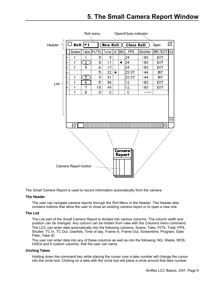# **5. The Small Camera Report Window**



The *Small Camera Report* is used to record information automatically from the camera.

### **The Header**

The user can navigate camera reports through the *Roll Menu* in the Header*.* The Header also contains buttons that allow the user to close an existing camera report or to open a new one.

## **The List**

The *List* part of the *Small Camera Report* is divided into various columns. The column width and position can be changed. Any column can be hidden from view with the *Columns* menu command. The LCC can enter data automatically into the following columns: Scene, Take, Ft/Tk, Total, FPS, Shutter, TC In, TC Out, Userbits, Time of day, Frame In, Frame Out, Screentime, Program, Gate Filter, Take ID.

The user can enter data into any of these columns as well as into the following: NG, Waste, MOS, Int/Ext and 6 custom columns, that the user can name.

## **Circling Takes**

Holding down the command key while placing the cursor over a take number will change the cursor into the circle tool. Clicking on a take with the circle tool will place a circle around that take number.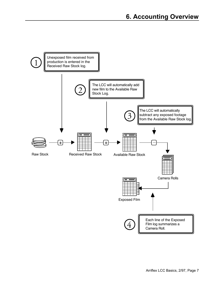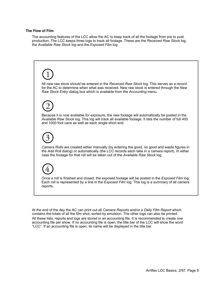### **The Flow of Film**

The accounting features of the LCC allow the AC to keep track of all the footage from pre to post production. The LCC keeps three logs to track all footage. These are the *Received Raw Stock* log, the *Available Raw Stock* log and the *Exposed Film* log.



At the end of the day the AC can print out all *Camera Reports* and/or a *Daily Film Report* which contains the totals of all the film shot, sorted by emulsion. The other logs can also be printed. All these lists, reports and logs are stored in an accounting file. It is recommended to create one accounting file per show. If no accounting file is open, the title bar of the LCC will show the word "LCC". If an accounting file is open, its name will be displayed in the title bar.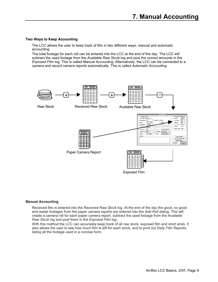# **Two Ways to Keep Accounting**

The LCC allows the user to keep track of film in two different ways: manual and automatic accounting

The total footage for each roll can be entered into the LCC at the end of the day. The LCC will subtract the used footage from the *Available Raw Stcok* log and post the correct amounts in the *Exposed Film* log. This is called *Manual Accounting*. Alternatively, the LCC can be connected to a camera and record camera reports automatically. This is called *Automatic Accounting.*



### **Manual Accounting**

Received film is entered into the *Received Raw Stock* log. At the end of the day the good, no good and waste footages from the paper camera reports are entered into the *Add Roll* dialog. This will create a camera roll for each paper camera report, subtract the used footage from the *Available Raw Stcok* log and post them in the *Exposed Film* log.

With this method the LCC can accurately keep track of all raw stock, exposed film and short ends. It also allows the user to see how much film is left for each stock, and to print out *Daily Film Reports*, listing all the footage used in a concise form.